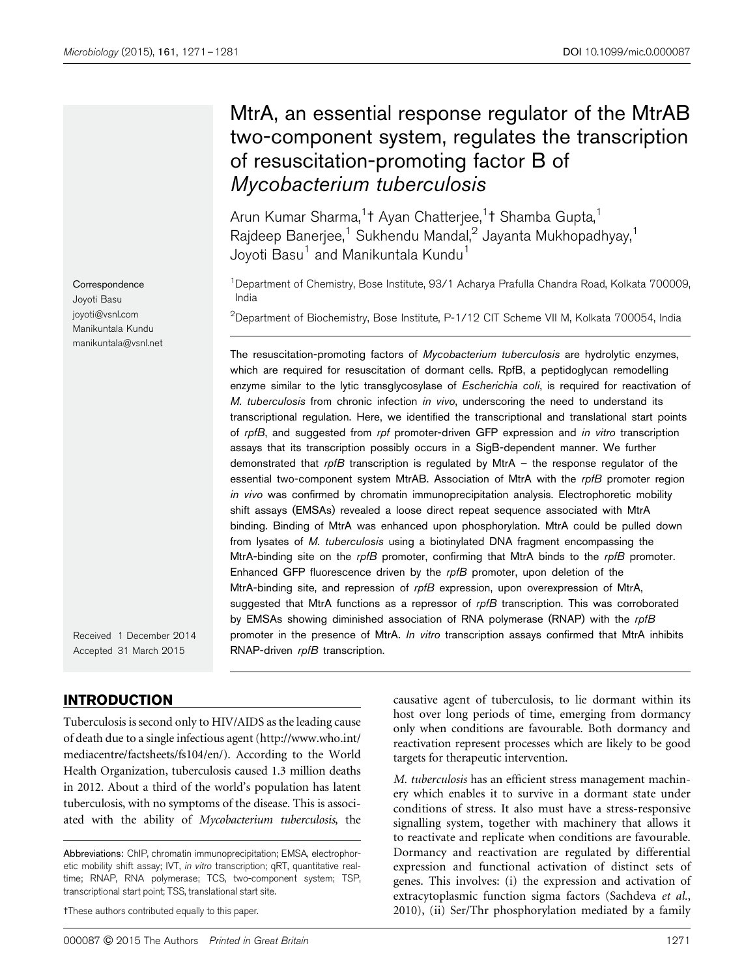# MtrA, an essential response regulator of the MtrAB two-component system, regulates the transcription of resuscitation-promoting factor B of Mycobacterium tuberculosis

Arun Kumar Sharma,<sup>1</sup>† Ayan Chatterjee,<sup>1</sup>† Shamba Gupta,<sup>1</sup> Rajdeep Banerjee,<sup>1</sup> Sukhendu Mandal,<sup>2</sup> Jayanta Mukhopadhyay,<sup>1</sup> Joyoti Basu<sup>1</sup> and Manikuntala Kundu<sup>1</sup>

<sup>1</sup>Department of Chemistry, Bose Institute, 93/1 Acharya Prafulla Chandra Road, Kolkata 700009, India

 $^{2}$ Department of Biochemistry, Bose Institute, P-1/12 CIT Scheme VII M, Kolkata 700054, India

The resuscitation-promoting factors of Mycobacterium tuberculosis are hydrolytic enzymes, which are required for resuscitation of dormant cells. RpfB, a peptidoglycan remodelling enzyme similar to the lytic transglycosylase of Escherichia coli, is required for reactivation of M. tuberculosis from chronic infection in vivo, underscoring the need to understand its transcriptional regulation. Here, we identified the transcriptional and translational start points of rpfB, and suggested from rpf promoter-driven GFP expression and in vitro transcription assays that its transcription possibly occurs in a SigB-dependent manner. We further demonstrated that  $r$ pfB transcription is regulated by MtrA – the response regulator of the essential two-component system MtrAB. Association of MtrA with the *rpfB* promoter region in vivo was confirmed by chromatin immunoprecipitation analysis. Electrophoretic mobility shift assays (EMSAs) revealed a loose direct repeat sequence associated with MtrA binding. Binding of MtrA was enhanced upon phosphorylation. MtrA could be pulled down from lysates of M. tuberculosis using a biotinylated DNA fragment encompassing the MtrA-binding site on the  $r$ pfB promoter, confirming that MtrA binds to the  $r$ pfB promoter. Enhanced GFP fluorescence driven by the rpfB promoter, upon deletion of the MtrA-binding site, and repression of rpfB expression, upon overexpression of MtrA, suggested that MtrA functions as a repressor of rpfB transcription. This was corroborated by EMSAs showing diminished association of RNA polymerase (RNAP) with the rpfB promoter in the presence of MtrA. In vitro transcription assays confirmed that MtrA inhibits RNAP-driven rpfB transcription.

Received 1 December 2014 Accepted 31 March 2015

## INTRODUCTION

Tuberculosis is second only to HIV/AIDS as the leading cause of death due to a single infectious agent (http://www.who.int/ mediacentre/factsheets/fs104/en/). According to the World Health Organization, tuberculosis caused 1.3 million deaths in 2012. About a third of the world's population has latent tuberculosis, with no symptoms of the disease. This is associated with the ability of *Mycobacterium tuberculosis*, the

tThese authors contributed equally to this paper.

causative agent of tuberculosis, to lie dormant within its host over long periods of time, emerging from dormancy only when conditions are favourable. Both dormancy and reactivation represent processes which are likely to be good targets for therapeutic intervention.

*M. tuberculosis* has an efficient stress management machinery which enables it to survive in a dormant state under conditions of stress. It also must have a stress-responsive signalling system, together with machinery that allows it to reactivate and replicate when conditions are favourable. Dormancy and reactivation are regulated by differential expression and functional activation of distinct sets of genes. This involves: (i) the expression and activation of extracytoplasmic function sigma factors (Sachdeva *et al.*, 2010), (ii) Ser/Thr phosphorylation mediated by a family

**Correspondence** Joyoti Basu joyoti@vsnl.com Manikuntala Kundu manikuntala@vsnl.net

Abbreviations: ChIP, chromatin immunoprecipitation; EMSA, electrophoretic mobility shift assay; IVT, in vitro transcription; qRT, quantitative realtime; RNAP, RNA polymerase; TCS, two-component system; TSP, transcriptional start point; TSS, translational start site.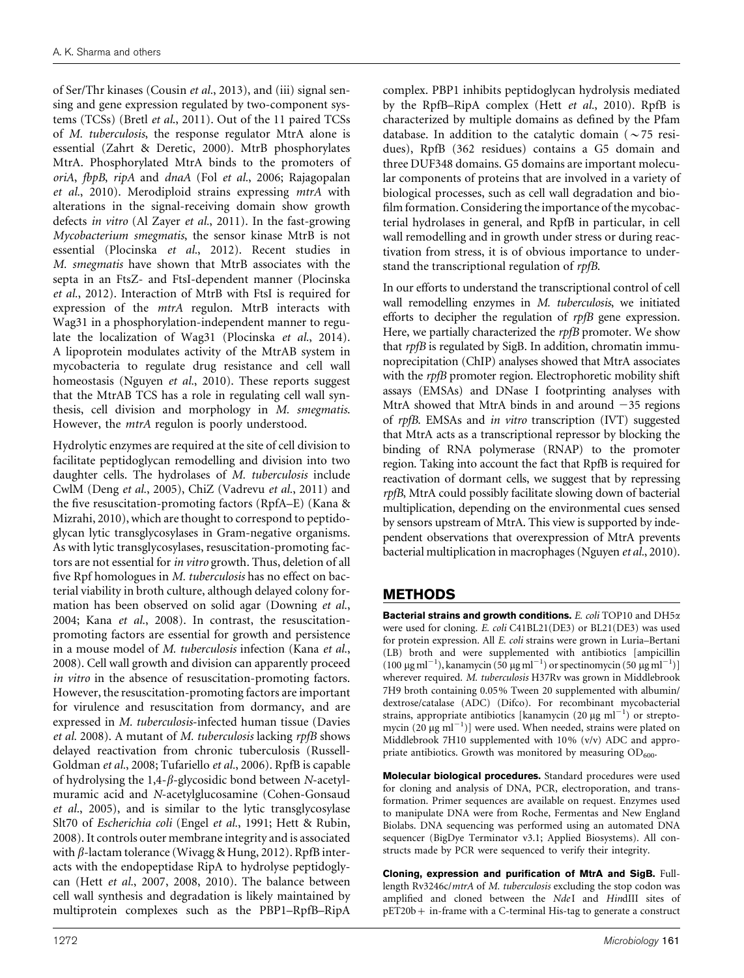of Ser/Thr kinases (Cousin *et al.*, 2013), and (iii) signal sensing and gene expression regulated by two-component systems (TCSs) (Bretl *et al*., 2011). Out of the 11 paired TCSs of *M. tuberculosis*, the response regulator MtrA alone is essential (Zahrt & Deretic, 2000). MtrB phosphorylates MtrA. Phosphorylated MtrA binds to the promoters of *oriA*, *fbpB*, *ripA* and *dnaA* (Fol *et al.*, 2006; Rajagopalan *et al.*, 2010). Merodiploid strains expressing *mtrA* with alterations in the signal-receiving domain show growth defects *in vitro* (Al Zayer *et al.*, 2011). In the fast-growing *Mycobacterium smegmatis*, the sensor kinase MtrB is not essential (Plocinska *et al.*, 2012). Recent studies in *M. smegmatis* have shown that MtrB associates with the septa in an FtsZ- and FtsI-dependent manner (Plocinska *et al.*, 2012). Interaction of MtrB with FtsI is required for expression of the *mtrA* regulon. MtrB interacts with Wag31 in a phosphorylation-independent manner to regulate the localization of Wag31 (Plocinska *et al.*, 2014). A lipoprotein modulates activity of the MtrAB system in mycobacteria to regulate drug resistance and cell wall homeostasis (Nguyen *et al.*, 2010). These reports suggest that the MtrAB TCS has a role in regulating cell wall synthesis, cell division and morphology in *M. smegmatis*. However, the *mtrA* regulon is poorly understood.

Hydrolytic enzymes are required at the site of cell division to facilitate peptidoglycan remodelling and division into two daughter cells. The hydrolases of *M. tuberculosis* include CwlM (Deng *et al.*, 2005), ChiZ (Vadrevu *et al.*, 2011) and the five resuscitation-promoting factors (RpfA–E) (Kana & Mizrahi, 2010), which are thought to correspond to peptidoglycan lytic transglycosylases in Gram-negative organisms. As with lytic transglycosylases, resuscitation-promoting factors are not essential for *in vitro* growth. Thus, deletion of all five Rpf homologues in *M. tuberculosis* has no effect on bacterial viability in broth culture, although delayed colony formation has been observed on solid agar (Downing *et al.*, 2004; Kana *et al.*, 2008). In contrast, the resuscitationpromoting factors are essential for growth and persistence in a mouse model of *M. tuberculosis* infection (Kana *et al.*, 2008). Cell wall growth and division can apparently proceed *in vitro* in the absence of resuscitation-promoting factors. However, the resuscitation-promoting factors are important for virulence and resuscitation from dormancy, and are expressed in *M. tuberculosis*-infected human tissue (Davies *et al.* 2008). A mutant of *M. tuberculosis* lacking *rpfB* shows delayed reactivation from chronic tuberculosis (Russell-Goldman *et al.*, 2008; Tufariello *et al.*, 2006). RpfB is capable of hydrolysing the 1,4-b-glycosidic bond between *N*-acetylmuramic acid and *N*-acetylglucosamine (Cohen-Gonsaud *et al.*, 2005), and is similar to the lytic transglycosylase Slt70 of *Escherichia coli* (Engel *et al.*, 1991; Hett & Rubin, 2008). It controls outer membrane integrity and is associated with  $\beta$ -lactam tolerance (Wivagg & Hung, 2012). RpfB interacts with the endopeptidase RipA to hydrolyse peptidoglycan (Hett *et al.*, 2007, 2008, 2010). The balance between cell wall synthesis and degradation is likely maintained by multiprotein complexes such as the PBP1–RpfB–RipA

complex. PBP1 inhibits peptidoglycan hydrolysis mediated by the RpfB–RipA complex (Hett *et al.*, 2010). RpfB is characterized by multiple domains as defined by the Pfam database. In addition to the catalytic domain ( $\sim$  75 residues), RpfB (362 residues) contains a G5 domain and three DUF348 domains. G5 domains are important molecular components of proteins that are involved in a variety of biological processes, such as cell wall degradation and biofilm formation. Considering the importance of the mycobacterial hydrolases in general, and RpfB in particular, in cell wall remodelling and in growth under stress or during reactivation from stress, it is of obvious importance to understand the transcriptional regulation of *rpfB*.

In our efforts to understand the transcriptional control of cell wall remodelling enzymes in *M. tuberculosis*, we initiated efforts to decipher the regulation of *rpfB* gene expression. Here, we partially characterized the *rpfB* promoter. We show that *rpfB* is regulated by SigB. In addition, chromatin immunoprecipitation (ChIP) analyses showed that MtrA associates with the *rpfB* promoter region. Electrophoretic mobility shift assays (EMSAs) and DNase I footprinting analyses with MtrA showed that MtrA binds in and around  $-35$  regions of *rpfB*. EMSAs and *in vitro* transcription (IVT) suggested that MtrA acts as a transcriptional repressor by blocking the binding of RNA polymerase (RNAP) to the promoter region. Taking into account the fact that RpfB is required for reactivation of dormant cells, we suggest that by repressing *rpfB*, MtrA could possibly facilitate slowing down of bacterial multiplication, depending on the environmental cues sensed by sensors upstream of MtrA. This view is supported by independent observations that overexpression of MtrA prevents bacterial multiplication in macrophages (Nguyen *et al.*, 2010).

# METHODS

Bacterial strains and growth conditions. *E. coli* TOP10 and DH5a were used for cloning. *E. coli* C41BL21(DE3) or BL21(DE3) was used for protein expression. All *E. coli* strains were grown in Luria–Bertani (LB) broth and were supplemented with antibiotics [ampicillin (100  $\mu$ g ml<sup>-1</sup>), kanamycin (50  $\mu$ g ml<sup>-1</sup>) or spectinomycin (50  $\mu$ g ml<sup>-1</sup>)] wherever required. *M. tuberculosis* H37Rv was grown in Middlebrook 7H9 broth containing 0.05% Tween 20 supplemented with albumin/ dextrose/catalase (ADC) (Difco). For recombinant mycobacterial strains, appropriate antibiotics [kanamycin (20  $\mu$ g ml<sup>-1</sup>) or streptomycin  $(20 \mu g \text{ ml}^{-1})$ ] were used. When needed, strains were plated on Middlebrook 7H10 supplemented with 10% (v/v) ADC and appropriate antibiotics. Growth was monitored by measuring  $OD_{600}$ .

Molecular biological procedures. Standard procedures were used for cloning and analysis of DNA, PCR, electroporation, and transformation. Primer sequences are available on request. Enzymes used to manipulate DNA were from Roche, Fermentas and New England Biolabs. DNA sequencing was performed using an automated DNA sequencer (BigDye Terminator v3.1; Applied Biosystems). All constructs made by PCR were sequenced to verify their integrity.

Cloning, expression and purification of MtrA and SigB. Fulllength Rv3246c/*mtrA* of *M. tuberculosis* excluding the stop codon was amplified and cloned between the *Nde*I and *Hin*dIII sites of pET20b+ in-frame with a C-terminal His-tag to generate a construct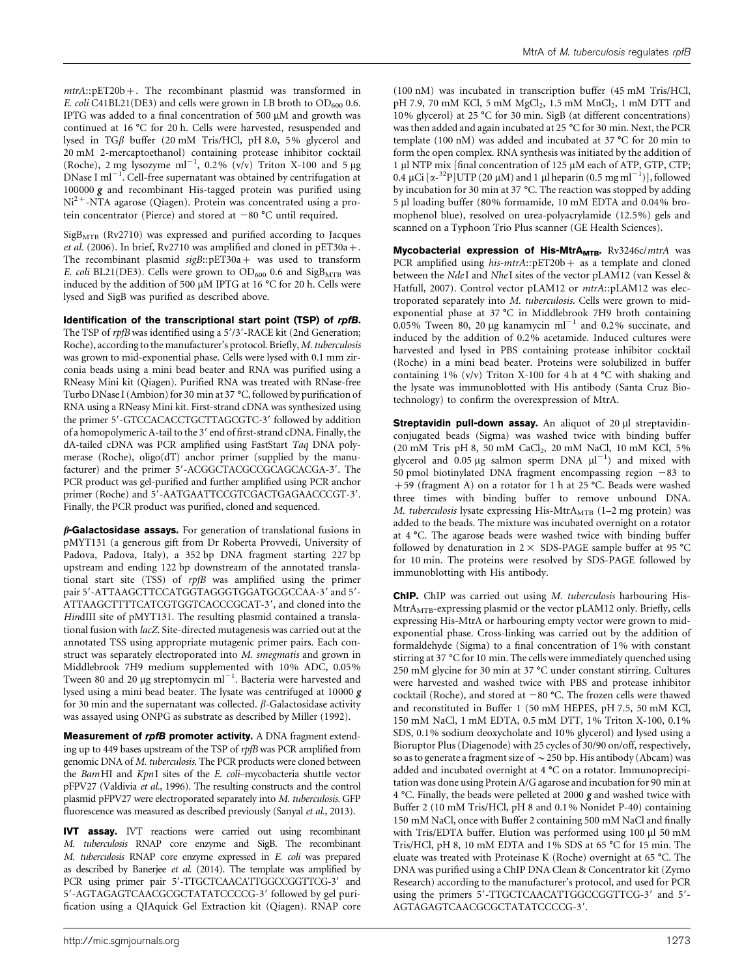*mtrA*::pET20b+. The recombinant plasmid was transformed in *E. coli* C41BL21(DE3) and cells were grown in LB broth to  $OD_{600}$  0.6. IPTG was added to a final concentration of 500  $\mu$ M and growth was continued at 16  $^{\circ}$ C for 20 h. Cells were harvested, resuspended and lysed in TG $\beta$  buffer (20 mM Tris/HCl, pH 8.0, 5% glycerol and 20 mM 2-mercaptoethanol) containing protease inhibitor cocktail (Roche), 2 mg lysozyme ml<sup>-1</sup>, 0.2% (v/v) Triton X-100 and 5 µg  $D$ Nase I ml<sup>-1</sup>. Cell-free supernatant was obtained by centrifugation at 100000  $g$  and recombinant His-tagged protein was purified using  $Ni<sup>2+</sup>$ -NTA agarose (Qiagen). Protein was concentrated using a protein concentrator (Pierce) and stored at  $-80$  °C until required.

 $SigB<sub>MTR</sub>$  (Rv2710) was expressed and purified according to Jacques *et al.* (2006). In brief, Rv2710 was amplified and cloned in pET30a+. The recombinant plasmid *sigB*::pET30a + was used to transform *E. coli* BL21(DE3). Cells were grown to  $OD_{600}$  0.6 and  $SigB_{MTB}$  was induced by the addition of 500  $\mu$ M IPTG at 16 °C for 20 h. Cells were lysed and SigB was purified as described above.

Identification of the transcriptional start point (TSP) of rpfB.

The TSP of *rpfB* was identified using a 5'/3'-RACE kit (2nd Generation; Roche), according to the manufacturer's protocol. Briefly, *M. tuberculosis* was grown to mid-exponential phase. Cells were lysed with 0.1 mm zirconia beads using a mini bead beater and RNA was purified using a RNeasy Mini kit (Qiagen). Purified RNA was treated with RNase-free Turbo DNase I (Ambion) for 30 min at 37 °C, followed by purification of RNA using a RNeasy Mini kit. First-strand cDNA was synthesized using the primer 5'-GTCCACACCTGCTTAGCGTC-3' followed by addition of a homopolymeric A-tail to the 3' end of first-strand cDNA. Finally, the dA-tailed cDNA was PCR amplified using FastStart *Taq* DNA polymerase (Roche), oligo(dT) anchor primer (supplied by the manufacturer) and the primer 5'-ACGGCTACGCCGCAGCACGA-3'. The PCR product was gel-purified and further amplified using PCR anchor primer (Roche) and 5'-AATGAATTCCGTCGACTGAGAACCCGT-3'. Finally, the PCR product was purified, cloned and sequenced.

 $\beta$ -Galactosidase assays. For generation of translational fusions in pMYT131 (a generous gift from Dr Roberta Provvedi, University of Padova, Padova, Italy), a 352 bp DNA fragment starting 227 bp upstream and ending 122 bp downstream of the annotated translational start site (TSS) of *rpfB* was amplified using the primer pair 5'-ATTAAGCTTCCATGGTAGGGTGGATGCGCCAA-3' and 5'-ATTAAGCTTTTCATCGTGGTCACCCGCAT-3', and cloned into the *Hin*dIII site of pMYT131. The resulting plasmid contained a translational fusion with *lacZ.* Site-directed mutagenesis was carried out at the annotated TSS using appropriate mutagenic primer pairs. Each construct was separately electroporated into *M. smegmatis* and grown in Middlebrook 7H9 medium supplemented with 10% ADC, 0.05% Tween 80 and 20  $\mu$ g streptomycin ml<sup>-1</sup>. Bacteria were harvested and lysed using a mini bead beater. The lysate was centrifuged at 10000 g for 30 min and the supernatant was collected.  $\beta$ -Galactosidase activity was assayed using ONPG as substrate as described by Miller (1992).

Measurement of rpfB promoter activity. A DNA fragment extending up to 449 bases upstream of the TSP of *rpfB* was PCR amplified from genomic DNA of *M. tuberculosis*. The PCR products were cloned between the *Bam*HI and *KpnI* sites of the *E. coli*–mycobacteria shuttle vector pFPV27 (Valdivia *et al.*, 1996). The resulting constructs and the control plasmid pFPV27 were electroporated separately into *M. tuberculosis.* GFP fluorescence was measured as described previously (Sanyal *et al.*, 2013).

IVT assay. IVT reactions were carried out using recombinant *M. tuberculosis* RNAP core enzyme and SigB. The recombinant *M. tuberculosis* RNAP core enzyme expressed in *E. coli* was prepared as described by Banerjee *et al.* (2014). The template was amplified by PCR using primer pair 5'-TTGCTCAACATTGGCCGGTTCG-3' and 5'-AGTAGAGTCAACGCGCTATATCCCCG-3' followed by gel purification using a QIAquick Gel Extraction kit (Qiagen). RNAP core (100 nM) was incubated in transcription buffer (45 mM Tris/HCl,  $pH$  7.9, 70 mM KCl, 5 mM  $MgCl<sub>2</sub>$ , 1.5 mM  $MnCl<sub>2</sub>$ , 1 mM DTT and 10% glycerol) at 25  $\degree$ C for 30 min. SigB (at different concentrations) was then added and again incubated at 25 °C for 30 min. Next, the PCR template (100 nM) was added and incubated at 37  $^{\circ}$ C for 20 min to form the open complex. RNA synthesis was initiated by the addition of 1 µl NTP mix [final concentration of 125 µM each of ATP, GTP, CTP; 0.4 μCi  $[\alpha^{-32}P]$ UTP (20 μM) and 1 μl heparin (0.5 mg ml<sup>-1</sup>)], followed by incubation for 30 min at 37 °C. The reaction was stopped by adding 5 ml loading buffer (80% formamide, 10 mM EDTA and 0.04% bromophenol blue), resolved on urea-polyacrylamide (12.5%) gels and scanned on a Typhoon Trio Plus scanner (GE Health Sciences).

Mycobacterial expression of His-MtrA<sub>MTB</sub>. Rv3246c/mtrA was PCR amplified using his-mtrA::pET20b+ as a template and cloned between the *Nde*I and *Nhe*I sites of the vector pLAM12 (van Kessel & Hatfull, 2007). Control vector pLAM12 or *mtrA*::pLAM12 was electroporated separately into *M. tuberculosis.* Cells were grown to midexponential phase at  $37^{\circ}$ C in Middlebrook 7H9 broth containing  $0.05\%$  Tween 80, 20 µg kanamycin ml<sup>-1</sup> and 0.2% succinate, and induced by the addition of 0.2% acetamide. Induced cultures were harvested and lysed in PBS containing protease inhibitor cocktail (Roche) in a mini bead beater. Proteins were solubilized in buffer containing 1% (v/v) Triton X-100 for 4 h at 4  $^{\circ}$ C with shaking and the lysate was immunoblotted with His antibody (Santa Cruz Biotechnology) to confirm the overexpression of MtrA.

Streptavidin pull-down assay. An aliquot of 20 µl streptavidinconjugated beads (Sigma) was washed twice with binding buffer (20 mM Tris pH 8, 50 mM CaCl<sub>2</sub>, 20 mM NaCl, 10 mM KCl, 5% glycerol and  $0.05 \mu$ g salmon sperm DNA  $\mu$ l<sup>-1</sup>) and mixed with 50 pmol biotinylated DNA fragment encompassing region  $-83$  to +59 (fragment A) on a rotator for 1 h at 25 °C. Beads were washed three times with binding buffer to remove unbound DNA. *M. tuberculosis* lysate expressing His-MtrA<sub>MTB</sub> (1-2 mg protein) was added to the beads. The mixture was incubated overnight on a rotator at 4 °C. The agarose beads were washed twice with binding buffer followed by denaturation in  $2 \times$  SDS-PAGE sample buffer at 95 °C for 10 min. The proteins were resolved by SDS-PAGE followed by immunoblotting with His antibody.

ChIP. ChIP was carried out using *M. tuberculosis* harbouring His- $MtrA<sub>MTB</sub>$ -expressing plasmid or the vector pLAM12 only. Briefly, cells expressing His-MtrA or harbouring empty vector were grown to midexponential phase. Cross-linking was carried out by the addition of formaldehyde (Sigma) to a final concentration of 1% with constant stirring at 37 °C for 10 min. The cells were immediately quenched using 250 mM glycine for 30 min at 37  $^{\circ}$ C under constant stirring. Cultures were harvested and washed twice with PBS and protease inhibitor cocktail (Roche), and stored at  $-80$  °C. The frozen cells were thawed and reconstituted in Buffer 1 (50 mM HEPES, pH 7.5, 50 mM KCl, 150 mM NaCl, 1 mM EDTA, 0.5 mM DTT, 1% Triton X-100, 0.1% SDS, 0.1% sodium deoxycholate and 10% glycerol) and lysed using a Bioruptor Plus (Diagenode) with 25 cycles of 30/90 on/off, respectively, so as to generate a fragment size of  $\sim$  250 bp. His antibody (Abcam) was added and incubated overnight at  $4 °C$  on a rotator. Immunoprecipitation was done using Protein A/G agarose and incubation for 90 min at 4 °C. Finally, the beads were pelleted at 2000  $g$  and washed twice with Buffer 2 (10 mM Tris/HCl, pH 8 and 0.1% Nonidet P-40) containing 150 mM NaCl, once with Buffer 2 containing 500 mM NaCl and finally with Tris/EDTA buffer. Elution was performed using 100 µl 50 mM Tris/HCl, pH 8, 10 mM EDTA and 1% SDS at 65 °C for 15 min. The eluate was treated with Proteinase K (Roche) overnight at 65  $^{\circ}$ C. The DNA was purified using a ChIP DNA Clean & Concentrator kit (Zymo Research) according to the manufacturer's protocol, and used for PCR using the primers 5'-TTGCTCAACATTGGCCGGTTCG-3' and 5'-AGTAGAGTCAACGCGCTATATCCCCG-3'.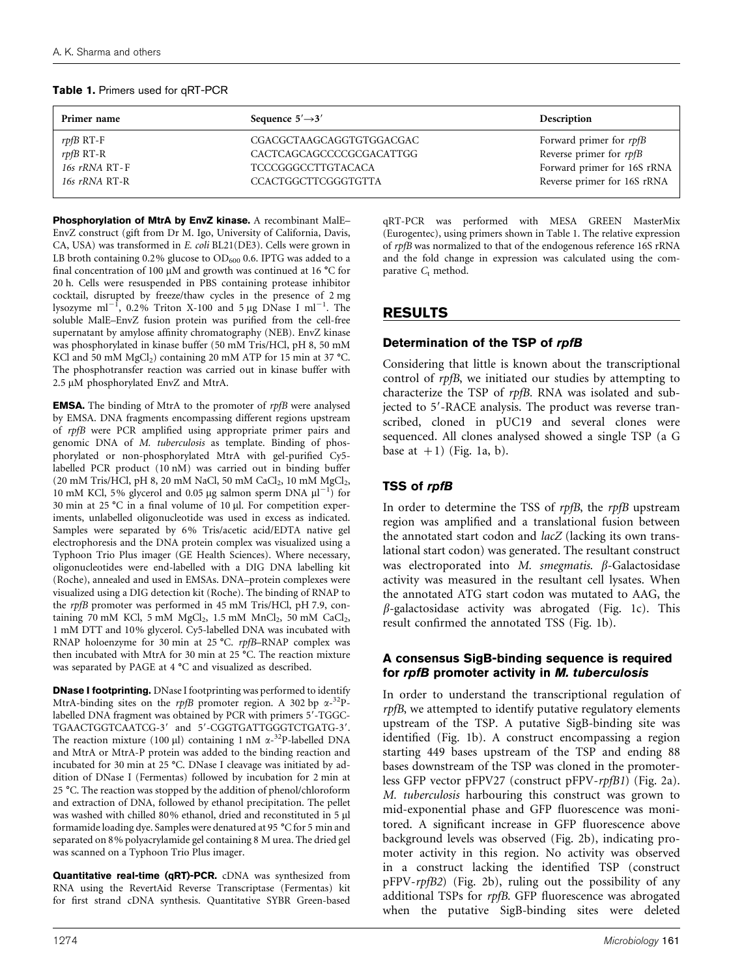| Primer name     | Sequence $5' \rightarrow 3'$ | Description                 |
|-----------------|------------------------------|-----------------------------|
| $rpfB$ RT-F     | CGACGCTAAGCAGGTGTGGACGAC     | Forward primer for rpfB     |
| $r$ pf $B$ RT-R | CACTCAGCAGCCCCGCGACATTGG     | Reverse primer for rpfB     |
| $16s$ rRNA RT-F | <b>TCCCGGGCCTTGTACACA</b>    | Forward primer for 16S rRNA |
| 16s rRNA RT-R   | <b>CCACTGGCTTCGGGTGTTA</b>   | Reverse primer for 16S rRNA |

#### Table 1. Primers used for qRT-PCR

Phosphorylation of MtrA by EnvZ kinase. A recombinant MalE-EnvZ construct (gift from Dr M. Igo, University of California, Davis, CA, USA) was transformed in *E. coli* BL21(DE3). Cells were grown in LB broth containing 0.2% glucose to  $OD<sub>600</sub>$  0.6. IPTG was added to a final concentration of 100  $\mu$ M and growth was continued at 16 °C for 20 h. Cells were resuspended in PBS containing protease inhibitor cocktail, disrupted by freeze/thaw cycles in the presence of 2 mg lysozyme ml<sup>-1</sup>, 0.2% Triton X-100 and 5 µg DNase I ml<sup>-1</sup>. The soluble MalE–EnvZ fusion protein was purified from the cell-free supernatant by amylose affinity chromatography (NEB). EnvZ kinase was phosphorylated in kinase buffer (50 mM Tris/HCl, pH 8, 50 mM KCl and 50 mM  $MgCl<sub>2</sub>$ ) containing 20 mM ATP for 15 min at 37 °C. The phosphotransfer reaction was carried out in kinase buffer with 2.5 µM phosphorylated EnvZ and MtrA.

EMSA. The binding of MtrA to the promoter of *rpfB* were analysed by EMSA. DNA fragments encompassing different regions upstream of *rpfB* were PCR amplified using appropriate primer pairs and genomic DNA of *M. tuberculosis* as template. Binding of phosphorylated or non-phosphorylated MtrA with gel-purified Cy5 labelled PCR product (10 nM) was carried out in binding buffer (20 mM Tris/HCl, pH 8, 20 mM NaCl, 50 mM CaCl<sub>2</sub>, 10 mM MgCl<sub>2</sub>, 10 mM KCl, 5% glycerol and 0.05 µg salmon sperm DNA  $\mu$ l<sup>-1</sup>) for 30 min at 25  $^{\circ}$ C in a final volume of 10 µl. For competition experiments, unlabelled oligonucleotide was used in excess as indicated. Samples were separated by 6% Tris/acetic acid/EDTA native gel electrophoresis and the DNA protein complex was visualized using a Typhoon Trio Plus imager (GE Health Sciences). Where necessary, oligonucleotides were end-labelled with a DIG DNA labelling kit (Roche), annealed and used in EMSAs. DNA–protein complexes were visualized using a DIG detection kit (Roche). The binding of RNAP to the *rpfB* promoter was performed in 45 mM Tris/HCl, pH 7.9, containing 70 mM KCl, 5 mM  $MgCl_2$ , 1.5 mM  $MnCl_2$ , 50 mM  $CaCl_2$ , 1 mM DTT and 10% glycerol. Cy5-labelled DNA was incubated with RNAP holoenzyme for 30 min at 25 °C. *rpfB*–RNAP complex was then incubated with MtrA for 30 min at 25  $^{\circ}$ C. The reaction mixture was separated by PAGE at  $4^{\circ}$ C and visualized as described.

**DNase I footprinting.** DNase I footprinting was performed to identify MtrA-binding sites on the *rpfB* promoter region. A 302 bp  $\alpha^{-32}P$ labelled DNA fragment was obtained by PCR with primers 5'-TGGC-TGAACTGGTCAATCG-3' and 5'-CGGTGATTGGGTCTGATG-3'. The reaction mixture (100 µl) containing 1 nM  $\alpha$ -<sup>32</sup>P-labelled DNA and MtrA or MtrA-P protein was added to the binding reaction and incubated for 30 min at 25 °C. DNase I cleavage was initiated by addition of DNase I (Fermentas) followed by incubation for 2 min at 25 °C. The reaction was stopped by the addition of phenol/chloroform and extraction of DNA, followed by ethanol precipitation. The pellet was washed with chilled 80% ethanol, dried and reconstituted in 5 µl formamide loading dye. Samples were denatured at 95 °C for 5 min and separated on 8% polyacrylamide gel containing 8 M urea. The dried gel was scanned on a Typhoon Trio Plus imager.

Quantitative real-time (qRT)-PCR. cDNA was synthesized from RNA using the RevertAid Reverse Transcriptase (Fermentas) kit for first strand cDNA synthesis. Quantitative SYBR Green-based

qRT-PCR was performed with MESA GREEN MasterMix (Eurogentec), using primers shown in Table 1. The relative expression of *rpfB* was normalized to that of the endogenous reference 16S rRNA and the fold change in expression was calculated using the comparative  $C_t$  method.

## RESULTS

### Determination of the TSP of rpfB

Considering that little is known about the transcriptional control of *rpfB*, we initiated our studies by attempting to characterize the TSP of *rpfB.* RNA was isolated and subjected to 5'-RACE analysis. The product was reverse transcribed, cloned in pUC19 and several clones were sequenced. All clones analysed showed a single TSP (a G base at  $+1$ ) (Fig. 1a, b).

## TSS of rpfB

In order to determine the TSS of *rpfB*, the *rpfB* upstream region was amplified and a translational fusion between the annotated start codon and *lacZ* (lacking its own translational start codon) was generated. The resultant construct was electroporated into *M. smegmatis*. β-Galactosidase activity was measured in the resultant cell lysates. When the annotated ATG start codon was mutated to AAG, the  $\beta$ -galactosidase activity was abrogated (Fig. 1c). This result confirmed the annotated TSS (Fig. 1b).

#### A consensus SigB-binding sequence is required for rpfB promoter activity in *M. tuberculosis*

In order to understand the transcriptional regulation of *rpfB*, we attempted to identify putative regulatory elements upstream of the TSP. A putative SigB-binding site was identified (Fig. 1b). A construct encompassing a region starting 449 bases upstream of the TSP and ending 88 bases downstream of the TSP was cloned in the promoterless GFP vector pFPV27 (construct pFPV-*rpfB1*) (Fig. 2a). *M. tuberculosis* harbouring this construct was grown to mid-exponential phase and GFP fluorescence was monitored. A significant increase in GFP fluorescence above background levels was observed (Fig. 2b), indicating promoter activity in this region. No activity was observed in a construct lacking the identified TSP (construct pFPV-*rpfB2*) (Fig. 2b), ruling out the possibility of any additional TSPs for *rpfB*. GFP fluorescence was abrogated when the putative SigB-binding sites were deleted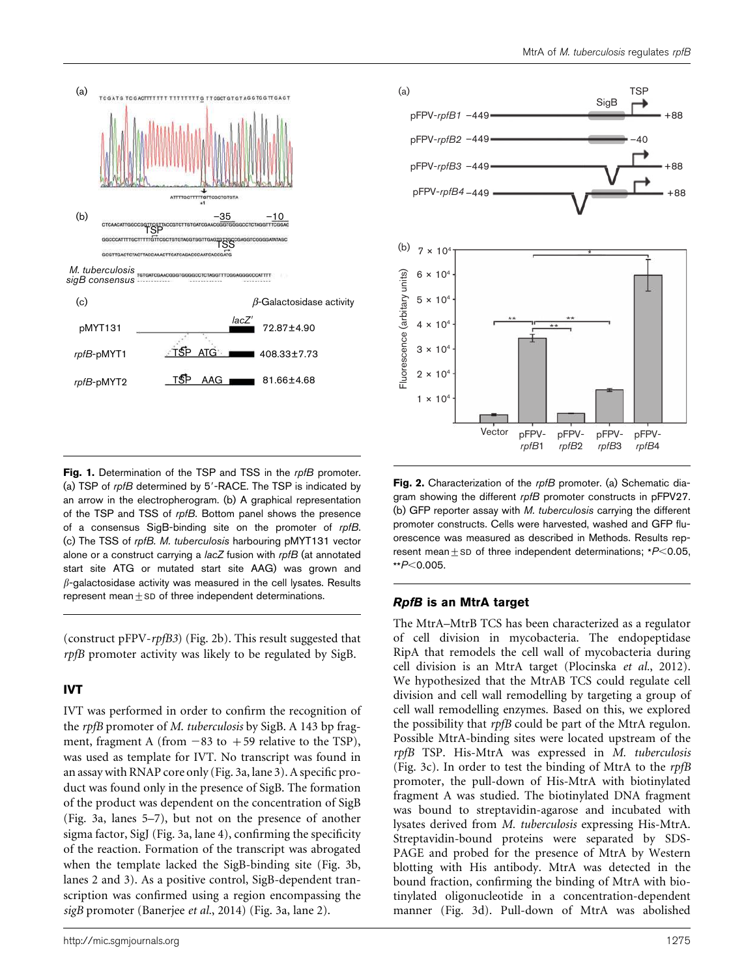



Fig. 1. Determination of the TSP and TSS in the rofB promoter. (a) TSP of  $rpfB$  determined by  $5'$ -RACE. The TSP is indicated by an arrow in the electropherogram. (b) A graphical representation of the TSP and TSS of rpfB. Bottom panel shows the presence of a consensus SigB-binding site on the promoter of rpfB. (c) The TSS of rpfB. M. tuberculosis harbouring pMYT131 vector alone or a construct carrying a lacZ fusion with rpfB (at annotated start site ATG or mutated start site AAG) was grown and  $\beta$ -galactosidase activity was measured in the cell lysates. Results represent mean $±$ SD of three independent determinations.

(construct pFPV-*rpfB3*) (Fig. 2b). This result suggested that *rpfB* promoter activity was likely to be regulated by SigB.

## IVT

IVT was performed in order to confirm the recognition of the *rpfB* promoter of *M*. *tuberculosis* by SigB. A 143 bp fragment, fragment A (from  $-83$  to  $+59$  relative to the TSP), was used as template for IVT. No transcript was found in an assay with RNAP core only (Fig. 3a, lane 3). A specific product was found only in the presence of SigB. The formation of the product was dependent on the concentration of SigB (Fig. 3a, lanes 5–7), but not on the presence of another sigma factor, SigJ (Fig. 3a, lane 4), confirming the specificity of the reaction. Formation of the transcript was abrogated when the template lacked the SigB-binding site (Fig. 3b, lanes 2 and 3). As a positive control, SigB-dependent transcription was confirmed using a region encompassing the *sigB* promoter (Banerjee *et al.*, 2014) (Fig. 3a, lane 2).

Fig. 2. Characterization of the rpfB promoter. (a) Schematic diagram showing the different rpfB promoter constructs in pFPV27. (b) GFP reporter assay with M. tuberculosis carrying the different promoter constructs. Cells were harvested, washed and GFP fluorescence was measured as described in Methods. Results represent mean $\pm$ SD of three independent determinations; \* $P$ <0.05,  $*P<0.005$ .

#### RpfB is an MtrA target

The MtrA–MtrB TCS has been characterized as a regulator of cell division in mycobacteria. The endopeptidase RipA that remodels the cell wall of mycobacteria during cell division is an MtrA target (Plocinska *et al.*, 2012). We hypothesized that the MtrAB TCS could regulate cell division and cell wall remodelling by targeting a group of cell wall remodelling enzymes. Based on this, we explored the possibility that *rpfB* could be part of the MtrA regulon. Possible MtrA-binding sites were located upstream of the *rpfB* TSP. His-MtrA was expressed in *M. tuberculosis* (Fig. 3c). In order to test the binding of MtrA to the *rpfB* promoter, the pull-down of His-MtrA with biotinylated fragment A was studied. The biotinylated DNA fragment was bound to streptavidin-agarose and incubated with lysates derived from *M. tuberculosis* expressing His-MtrA. Streptavidin-bound proteins were separated by SDS-PAGE and probed for the presence of MtrA by Western blotting with His antibody. MtrA was detected in the bound fraction, confirming the binding of MtrA with biotinylated oligonucleotide in a concentration-dependent manner (Fig. 3d). Pull-down of MtrA was abolished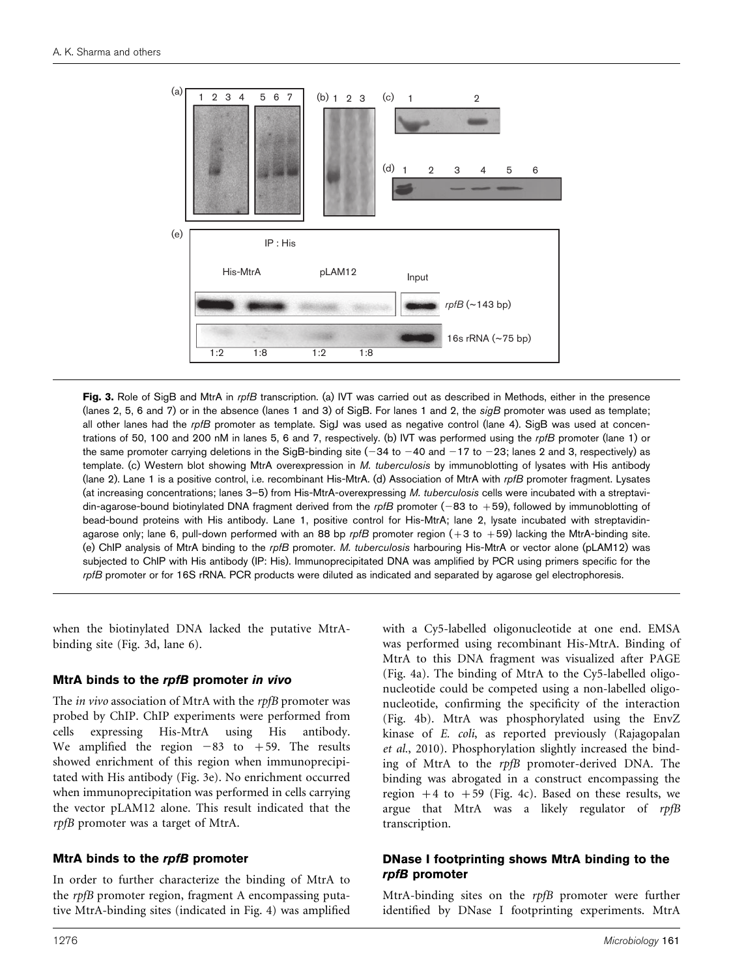

Fig. 3. Role of SigB and MtrA in rpfB transcription. (a) IVT was carried out as described in Methods, either in the presence (lanes 2, 5, 6 and 7) or in the absence (lanes 1 and 3) of SigB. For lanes 1 and 2, the  $sigB$  promoter was used as template; all other lanes had the rpfB promoter as template. SigJ was used as negative control (lane 4). SigB was used at concentrations of 50, 100 and 200 nM in lanes 5, 6 and 7, respectively. (b) IVT was performed using the rpfB promoter (lane 1) or the same promoter carrying deletions in the SigB-binding site  $(-34$  to  $-40$  and  $-17$  to  $-23$ ; lanes 2 and 3, respectively) as template. (c) Western blot showing MtrA overexpression in M. tuberculosis by immunoblotting of lysates with His antibody (lane 2). Lane 1 is a positive control, i.e. recombinant His-MtrA. (d) Association of MtrA with rpfB promoter fragment. Lysates (at increasing concentrations; lanes 3–5) from His-MtrA-overexpressing M. tuberculosis cells were incubated with a streptavidin-agarose-bound biotinylated DNA fragment derived from the rpfB promoter (-83 to +59), followed by immunoblotting of bead-bound proteins with His antibody. Lane 1, positive control for His-MtrA; lane 2, lysate incubated with streptavidinagarose only; lane 6, pull-down performed with an 88 bp rpfB promoter region  $(+3$  to  $+59)$  lacking the MtrA-binding site. (e) ChIP analysis of MtrA binding to the rpfB promoter. M. tuberculosis harbouring His-MtrA or vector alone (pLAM12) was subjected to ChIP with His antibody (IP: His). Immunoprecipitated DNA was amplified by PCR using primers specific for the rpfB promoter or for 16S rRNA. PCR products were diluted as indicated and separated by agarose gel electrophoresis.

when the biotinylated DNA lacked the putative MtrAbinding site (Fig. 3d, lane 6).

#### MtrA binds to the rpfB promoter in vivo

The *in vivo* association of MtrA with the *rpfB* promoter was probed by ChIP. ChIP experiments were performed from cells expressing His-MtrA using His antibody. We amplified the region  $-83$  to  $+59$ . The results showed enrichment of this region when immunoprecipitated with His antibody (Fig. 3e). No enrichment occurred when immunoprecipitation was performed in cells carrying the vector pLAM12 alone. This result indicated that the *rpfB* promoter was a target of MtrA.

#### MtrA binds to the rpfB promoter

In order to further characterize the binding of MtrA to the *rpfB* promoter region, fragment A encompassing putative MtrA-binding sites (indicated in Fig. 4) was amplified with a Cy5-labelled oligonucleotide at one end. EMSA was performed using recombinant His-MtrA. Binding of MtrA to this DNA fragment was visualized after PAGE (Fig. 4a). The binding of MtrA to the Cy5-labelled oligonucleotide could be competed using a non-labelled oligonucleotide, confirming the specificity of the interaction (Fig. 4b). MtrA was phosphorylated using the EnvZ kinase of *E. coli*, as reported previously (Rajagopalan *et al.*, 2010). Phosphorylation slightly increased the binding of MtrA to the *rpfB* promoter-derived DNA. The binding was abrogated in a construct encompassing the region  $+4$  to  $+59$  (Fig. 4c). Based on these results, we argue that MtrA was a likely regulator of *rpfB* transcription.

#### DNase I footprinting shows MtrA binding to the rpfB promoter

MtrA-binding sites on the *rpfB* promoter were further identified by DNase I footprinting experiments. MtrA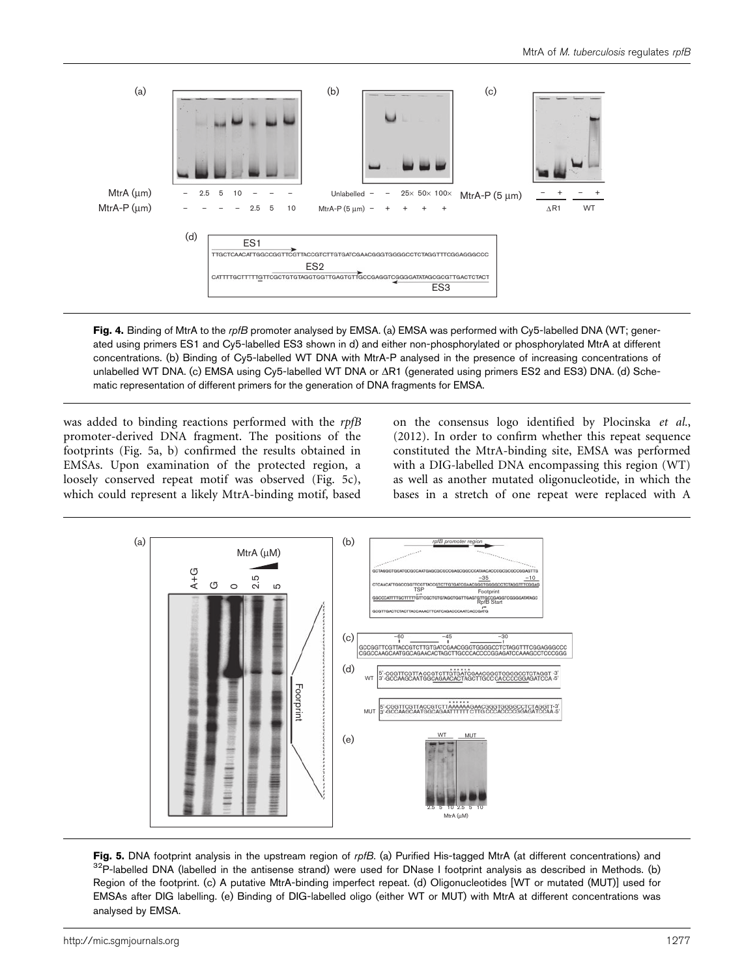

Fig. 4. Binding of MtrA to the rpfB promoter analysed by EMSA. (a) EMSA was performed with Cy5-labelled DNA (WT; generated using primers ES1 and Cy5-labelled ES3 shown in d) and either non-phosphorylated or phosphorylated MtrA at different concentrations. (b) Binding of Cy5-labelled WT DNA with MtrA-P analysed in the presence of increasing concentrations of unlabelled WT DNA. (c) EMSA using Cy5-labelled WT DNA or  $\Delta$ R1 (generated using primers ES2 and ES3) DNA. (d) Schematic representation of different primers for the generation of DNA fragments for EMSA.

was added to binding reactions performed with the *rpfB* promoter-derived DNA fragment. The positions of the footprints (Fig. 5a, b) confirmed the results obtained in EMSAs. Upon examination of the protected region, a loosely conserved repeat motif was observed (Fig. 5c), which could represent a likely MtrA-binding motif, based on the consensus logo identified by Plocinska *et al.*, (2012). In order to confirm whether this repeat sequence constituted the MtrA-binding site, EMSA was performed with a DIG-labelled DNA encompassing this region (WT) as well as another mutated oligonucleotide, in which the bases in a stretch of one repeat were replaced with A



Fig. 5. DNA footprint analysis in the upstream region of rpfB. (a) Purified His-tagged MtrA (at different concentrations) and  $32P$ -labelled DNA (labelled in the antisense strand) were used for DNase I footprint analysis as described in Methods. (b) Region of the footprint. (c) A putative MtrA-binding imperfect repeat. (d) Oligonucleotides [WT or mutated (MUT)] used for EMSAs after DIG labelling. (e) Binding of DIG-labelled oligo (either WT or MUT) with MtrA at different concentrations was analysed by EMSA.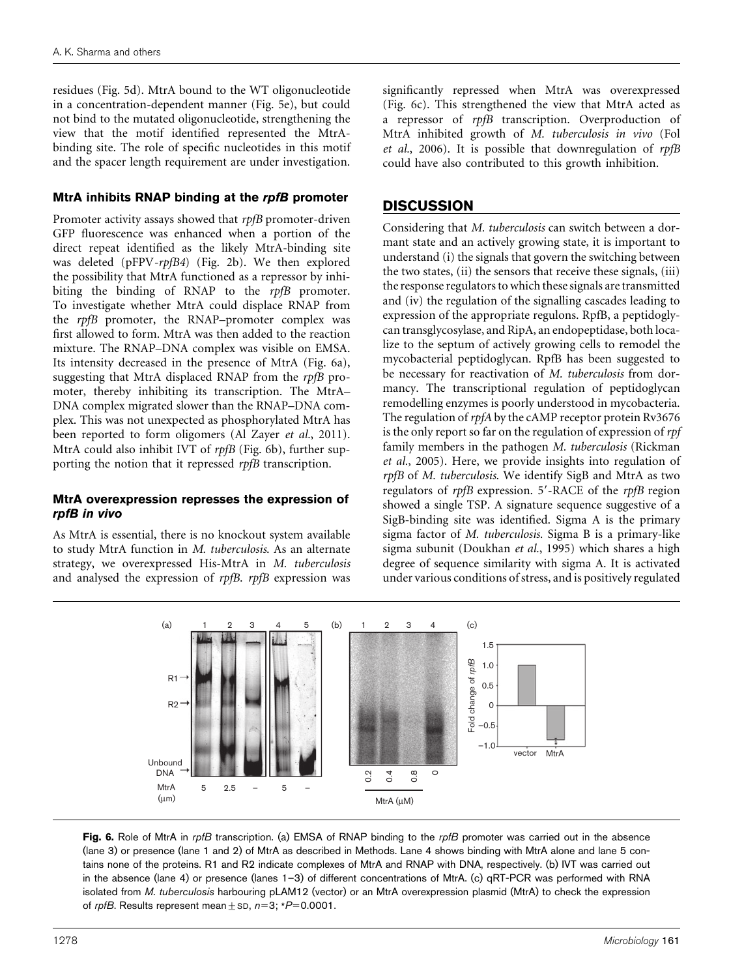residues (Fig. 5d). MtrA bound to the WT oligonucleotide in a concentration-dependent manner (Fig. 5e), but could not bind to the mutated oligonucleotide, strengthening the view that the motif identified represented the MtrAbinding site. The role of specific nucleotides in this motif and the spacer length requirement are under investigation.

### MtrA inhibits RNAP binding at the rpfB promoter

Promoter activity assays showed that *rpfB* promoter-driven GFP fluorescence was enhanced when a portion of the direct repeat identified as the likely MtrA-binding site was deleted (pFPV*-rpfB4*) (Fig. 2b). We then explored the possibility that MtrA functioned as a repressor by inhibiting the binding of RNAP to the *rpfB* promoter. To investigate whether MtrA could displace RNAP from the *rpfB* promoter, the RNAP–promoter complex was first allowed to form. MtrA was then added to the reaction mixture. The RNAP–DNA complex was visible on EMSA. Its intensity decreased in the presence of MtrA (Fig. 6a), suggesting that MtrA displaced RNAP from the *rpfB* promoter, thereby inhibiting its transcription. The MtrA– DNA complex migrated slower than the RNAP–DNA complex. This was not unexpected as phosphorylated MtrA has been reported to form oligomers (Al Zayer *et al.*, 2011). MtrA could also inhibit IVT of *rpfB* (Fig. 6b), further supporting the notion that it repressed *rpfB* transcription.

#### MtrA overexpression represses the expression of rpfB in vivo

As MtrA is essential, there is no knockout system available to study MtrA function in *M. tuberculosis*. As an alternate strategy, we overexpressed His-MtrA in *M. tuberculosis* and analysed the expression of *rpfB*. *rpfB* expression was significantly repressed when MtrA was overexpressed (Fig. 6c). This strengthened the view that MtrA acted as a repressor of *rpfB* transcription. Overproduction of MtrA inhibited growth of *M. tuberculosis in vivo* (Fol *et al.*, 2006). It is possible that downregulation of *rpfB* could have also contributed to this growth inhibition.

# **DISCUSSION**

Considering that *M. tuberculosis* can switch between a dormant state and an actively growing state, it is important to understand (i) the signals that govern the switching between the two states, (ii) the sensors that receive these signals, (iii) the response regulators to which these signals are transmitted and (iv) the regulation of the signalling cascades leading to expression of the appropriate regulons. RpfB, a peptidoglycan transglycosylase, and RipA, an endopeptidase, both localize to the septum of actively growing cells to remodel the mycobacterial peptidoglycan. RpfB has been suggested to be necessary for reactivation of *M. tuberculosis* from dormancy. The transcriptional regulation of peptidoglycan remodelling enzymes is poorly understood in mycobacteria. The regulation of *rpfA* by the cAMP receptor protein Rv3676 is the only report so far on the regulation of expression of *rpf* family members in the pathogen *M. tuberculosis* (Rickman *et al.*, 2005). Here, we provide insights into regulation of *rpfB* of *M. tuberculosis*. We identify SigB and MtrA as two regulators of *rpfB* expression. 5'-RACE of the *rpfB* region showed a single TSP. A signature sequence suggestive of a SigB-binding site was identified. Sigma A is the primary sigma factor of *M. tuberculosis.* Sigma B is a primary-like sigma subunit (Doukhan *et al.*, 1995) which shares a high degree of sequence similarity with sigma A. It is activated under various conditions of stress, and is positively regulated



Fig. 6. Role of MtrA in rpfB transcription. (a) EMSA of RNAP binding to the rpfB promoter was carried out in the absence (lane 3) or presence (lane 1 and 2) of MtrA as described in Methods. Lane 4 shows binding with MtrA alone and lane 5 contains none of the proteins. R1 and R2 indicate complexes of MtrA and RNAP with DNA, respectively. (b) IVT was carried out in the absence (lane 4) or presence (lanes 1–3) of different concentrations of MtrA. (c) qRT-PCR was performed with RNA isolated from M. tuberculosis harbouring pLAM12 (vector) or an MtrA overexpression plasmid (MtrA) to check the expression of rpfB. Results represent mean  $\pm$  SD, n=3; \*P=0.0001.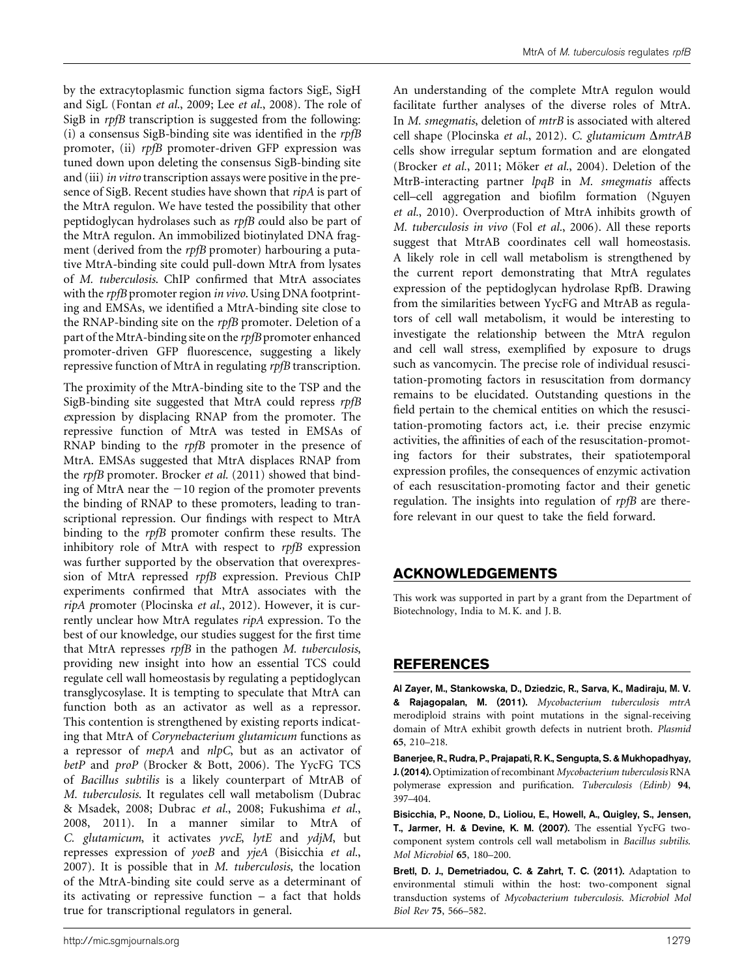by the extracytoplasmic function sigma factors SigE, SigH and SigL (Fontan *et al.*, 2009; Lee *et al.*, 2008). The role of SigB in *rpfB* transcription is suggested from the following: (i) a consensus SigB-binding site was identified in the *rpfB* promoter, (ii) *rpfB* promoter-driven GFP expression was tuned down upon deleting the consensus SigB-binding site and (iii)*in vitro* transcription assays were positive in the presence of SigB. Recent studies have shown that *ripA* is part of the MtrA regulon. We have tested the possibility that other peptidoglycan hydrolases such as *rpfB c*ould also be part of the MtrA regulon. An immobilized biotinylated DNA fragment (derived from the *rpfB* promoter) harbouring a putative MtrA-binding site could pull-down MtrA from lysates of *M. tuberculosis*. ChIP confirmed that MtrA associates with the *rpfB* promoter region *in vivo*. Using DNA footprinting and EMSAs, we identified a MtrA-binding site close to the RNAP-binding site on the *rpfB* promoter. Deletion of a part of the MtrA-binding site on the *rpfB* promoter enhanced promoter-driven GFP fluorescence, suggesting a likely repressive function of MtrA in regulating *rpfB* transcription.

The proximity of the MtrA-binding site to the TSP and the SigB-binding site suggested that MtrA could repress *rpfB e*xpression by displacing RNAP from the promoter. The repressive function of MtrA was tested in EMSAs of RNAP binding to the *rpfB* promoter in the presence of MtrA. EMSAs suggested that MtrA displaces RNAP from the *rpfB* promoter. Brocker *et al.* (2011) showed that binding of MtrA near the  $-10$  region of the promoter prevents the binding of RNAP to these promoters, leading to transcriptional repression. Our findings with respect to MtrA binding to the *rpfB* promoter confirm these results. The inhibitory role of MtrA with respect to *rpfB* expression was further supported by the observation that overexpression of MtrA repressed *rpfB* expression. Previous ChIP experiments confirmed that MtrA associates with the *ripA p*romoter (Plocinska *et al.*, 2012). However, it is currently unclear how MtrA regulates *ripA* expression. To the best of our knowledge, our studies suggest for the first time that MtrA represses *rpfB* in the pathogen *M. tuberculosis*, providing new insight into how an essential TCS could regulate cell wall homeostasis by regulating a peptidoglycan transglycosylase. It is tempting to speculate that MtrA can function both as an activator as well as a repressor. This contention is strengthened by existing reports indicating that MtrA of *Corynebacterium glutamicum* functions as a repressor of *mepA* and *nlpC*, but as an activator of *betP* and *proP* (Brocker & Bott, 2006). The YycFG TCS of *Bacillus subtilis* is a likely counterpart of MtrAB of *M. tuberculosis*. It regulates cell wall metabolism (Dubrac & Msadek, 2008; Dubrac *et al.*, 2008; Fukushima *et al.*, 2008, 2011). In a manner similar to MtrA of *C. glutamicum*, it activates *yvcE*, *lytE* and *ydjM*, but represses expression of *yoeB* and *yjeA* (Bisicchia *et al.*, 2007). It is possible that in *M*. *tuberculosis*, the location of the MtrA-binding site could serve as a determinant of its activating or repressive function – a fact that holds true for transcriptional regulators in general.

An understanding of the complete MtrA regulon would facilitate further analyses of the diverse roles of MtrA. In *M. smegmatis*, deletion of *mtrB* is associated with altered cell shape (Plocinska *et al.*, 2012). *C. glutamicum* Δ*mtrAB* cells show irregular septum formation and are elongated (Brocker *et al.*, 2011; Möker *et al.*, 2004). Deletion of the MtrB-interacting partner *lpqB* in *M. smegmatis* affects cell–cell aggregation and biofilm formation (Nguyen *et al.*, 2010). Overproduction of MtrA inhibits growth of *M. tuberculosis in vivo* (Fol *et al.*, 2006). All these reports suggest that MtrAB coordinates cell wall homeostasis. A likely role in cell wall metabolism is strengthened by the current report demonstrating that MtrA regulates expression of the peptidoglycan hydrolase RpfB. Drawing from the similarities between YycFG and MtrAB as regulators of cell wall metabolism, it would be interesting to investigate the relationship between the MtrA regulon and cell wall stress, exemplified by exposure to drugs such as vancomycin. The precise role of individual resuscitation-promoting factors in resuscitation from dormancy remains to be elucidated. Outstanding questions in the field pertain to the chemical entities on which the resuscitation-promoting factors act, i.e. their precise enzymic activities, the affinities of each of the resuscitation-promoting factors for their substrates, their spatiotemporal expression profiles, the consequences of enzymic activation of each resuscitation-promoting factor and their genetic regulation. The insights into regulation of *rpfB* are therefore relevant in our quest to take the field forward.

# ACKNOWLEDGEMENTS

This work was supported in part by a grant from the Department of Biotechnology, India to M. K. and J. B.

## REFERENCES

Al Zayer, M., Stankowska, D., Dziedzic, R., Sarva, K., Madiraju, M. V. & Rajagopalan, M. (2011). *Mycobacterium tuberculosis mtrA* merodiploid strains with point mutations in the signal-receiving domain of MtrA exhibit growth defects in nutrient broth. *Plasmid* 65, 210–218.

Banerjee, R., Rudra, P., Prajapati, R. K., Sengupta, S. & Mukhopadhyay, J. (2014). Optimization of recombinant *Mycobacterium tuberculosis* RNA polymerase expression and purification. *Tuberculosis (Edinb)* 94, 397–404.

Bisicchia, P., Noone, D., Lioliou, E., Howell, A., Quigley, S., Jensen, T., Jarmer, H. & Devine, K. M. (2007). The essential YycFG twocomponent system controls cell wall metabolism in *Bacillus subtilis*. *Mol Microbiol* 65, 180–200.

Bretl, D. J., Demetriadou, C. & Zahrt, T. C. (2011). Adaptation to environmental stimuli within the host: two-component signal transduction systems of *Mycobacterium tuberculosis*. *Microbiol Mol Biol Rev* 75, 566–582.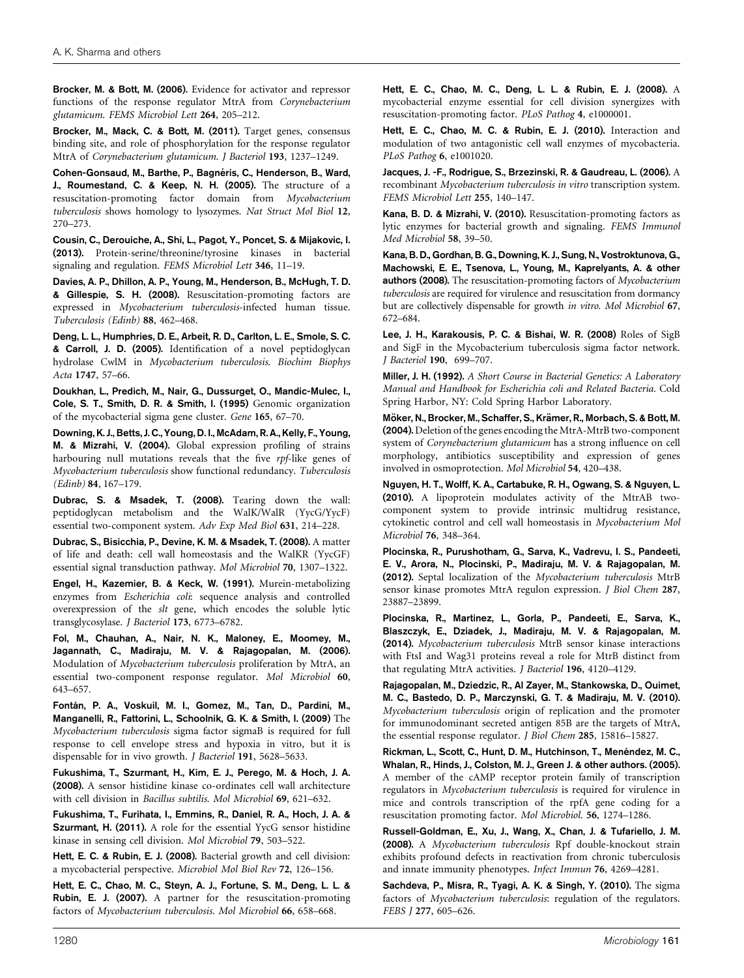Brocker, M. & Bott, M. (2006). Evidence for activator and repressor functions of the response regulator MtrA from *Corynebacterium glutamicum*. *FEMS Microbiol Lett* 264, 205–212.

Brocker, M., Mack, C. & Bott, M. (2011). Target genes, consensus binding site, and role of phosphorylation for the response regulator MtrA of *Corynebacterium glutamicum*. *J Bacteriol* 193, 1237–1249.

Cohen-Gonsaud, M., Barthe, P., Bagnéris, C., Henderson, B., Ward, J., Roumestand, C. & Keep, N. H. (2005). The structure of a resuscitation-promoting factor domain from *Mycobacterium tuberculosis* shows homology to lysozymes. *Nat Struct Mol Biol* 12, 270–273.

Cousin, C., Derouiche, A., Shi, L., Pagot, Y., Poncet, S. & Mijakovic, I. (2013). Protein-serine/threonine/tyrosine kinases in bacterial signaling and regulation. *FEMS Microbiol Lett* 346, 11–19.

Davies, A. P., Dhillon, A. P., Young, M., Henderson, B., McHugh, T. D. & Gillespie, S. H. (2008). Resuscitation-promoting factors are expressed in *Mycobacterium tuberculosis*-infected human tissue. *Tuberculosis (Edinb)* 88, 462–468.

Deng, L. L., Humphries, D. E., Arbeit, R. D., Carlton, L. E., Smole, S. C. & Carroll, J. D. (2005). Identification of a novel peptidoglycan hydrolase CwlM in *Mycobacterium tuberculosis*. *Biochim Biophys Acta* 1747, 57–66.

Doukhan, L., Predich, M., Nair, G., Dussurget, O., Mandic-Mulec, I., Cole, S. T., Smith, D. R. & Smith, I. (1995) Genomic organization of the mycobacterial sigma gene cluster. *Gene* 165, 67–70.

Downing, K. J., Betts, J. C., Young, D. I., McAdam, R. A., Kelly, F., Young, M. & Mizrahi, V. (2004). Global expression profiling of strains harbouring null mutations reveals that the five *rpf*-like genes of *Mycobacterium tuberculosis* show functional redundancy. *Tuberculosis (Edinb)* 84, 167–179.

Dubrac, S. & Msadek, T. (2008). Tearing down the wall: peptidoglycan metabolism and the WalK/WalR (YycG/YycF) essential two-component system. *Adv Exp Med Biol* 631, 214–228.

Dubrac, S., Bisicchia, P., Devine, K. M. & Msadek, T. (2008). A matter of life and death: cell wall homeostasis and the WalKR (YycGF) essential signal transduction pathway. *Mol Microbiol* 70, 1307–1322.

Engel, H., Kazemier, B. & Keck, W. (1991). Murein-metabolizing enzymes from *Escherichia coli*: sequence analysis and controlled overexpression of the *slt* gene, which encodes the soluble lytic transglycosylase. *J Bacteriol* 173, 6773–6782.

Fol, M., Chauhan, A., Nair, N. K., Maloney, E., Moomey, M., Jagannath, C., Madiraju, M. V. & Rajagopalan, M. (2006). Modulation of *Mycobacterium tuberculosis* proliferation by MtrA, an essential two-component response regulator. *Mol Microbiol* 60, 643–657.

Fontán, P. A., Voskuil, M. I., Gomez, M., Tan, D., Pardini, M., Manganelli, R., Fattorini, L., Schoolnik, G. K. & Smith, I. (2009) The *Mycobacterium tuberculosis* sigma factor sigmaB is required for full response to cell envelope stress and hypoxia in vitro, but it is dispensable for in vivo growth. *J Bacteriol* 191, 5628–5633.

Fukushima, T., Szurmant, H., Kim, E. J., Perego, M. & Hoch, J. A. (2008). A sensor histidine kinase co-ordinates cell wall architecture with cell division in *Bacillus subtilis*. *Mol Microbiol* 69, 621–632.

Fukushima, T., Furihata, I., Emmins, R., Daniel, R. A., Hoch, J. A. & Szurmant, H. (2011). A role for the essential YycG sensor histidine kinase in sensing cell division. *Mol Microbiol* 79, 503–522.

Hett, E. C. & Rubin, E. J. (2008). Bacterial growth and cell division: a mycobacterial perspective. *Microbiol Mol Biol Rev* 72, 126–156.

Hett, E. C., Chao, M. C., Steyn, A. J., Fortune, S. M., Deng, L. L. & Rubin, E. J. (2007). A partner for the resuscitation-promoting factors of *Mycobacterium tuberculosis*. *Mol Microbiol* 66, 658–668.

Hett, E. C., Chao, M. C., Deng, L. L. & Rubin, E. J. (2008). A mycobacterial enzyme essential for cell division synergizes with resuscitation-promoting factor. *PLoS Pathog* 4, e1000001.

Hett, E. C., Chao, M. C. & Rubin, E. J. (2010). Interaction and modulation of two antagonistic cell wall enzymes of mycobacteria. *PLoS Pathog* 6, e1001020.

Jacques, J. -F., Rodrigue, S., Brzezinski, R. & Gaudreau, L. (2006). A recombinant *Mycobacterium tuberculosis in vitro* transcription system. *FEMS Microbiol Lett* 255, 140–147.

Kana, B. D. & Mizrahi, V. (2010). Resuscitation-promoting factors as lytic enzymes for bacterial growth and signaling. *FEMS Immunol Med Microbiol* 58, 39–50.

Kana, B. D., Gordhan, B. G., Downing, K. J., Sung, N., Vostroktunova, G., Machowski, E. E., Tsenova, L., Young, M., Kaprelyants, A. & other authors (2008). The resuscitation-promoting factors of *Mycobacterium tuberculosis* are required for virulence and resuscitation from dormancy but are collectively dispensable for growth *in vitro*. *Mol Microbiol* 67, 672–684.

Lee, J. H., Karakousis, P. C. & Bishai, W. R. (2008) Roles of SigB and SigF in the Mycobacterium tuberculosis sigma factor network. *J Bacteriol* 190, 699–707.

Miller, J. H. (1992). *A Short Course in Bacterial Genetics: A Laboratory Manual and Handbook for Escherichia coli and Related Bacteria*. Cold Spring Harbor, NY: Cold Spring Harbor Laboratory.

Möker, N., Brocker, M., Schaffer, S., Krämer, R., Morbach, S. & Bott, M. (2004). Deletion of the genes encoding the MtrA-MtrB two-component system of *Corynebacterium glutamicum* has a strong influence on cell morphology, antibiotics susceptibility and expression of genes involved in osmoprotection. *Mol Microbiol* 54, 420–438.

Nguyen, H. T., Wolff, K. A., Cartabuke, R. H., Ogwang, S. & Nguyen, L. (2010). A lipoprotein modulates activity of the MtrAB twocomponent system to provide intrinsic multidrug resistance, cytokinetic control and cell wall homeostasis in *Mycobacterium Mol Microbiol* 76, 348–364.

Plocinska, R., Purushotham, G., Sarva, K., Vadrevu, I. S., Pandeeti, E. V., Arora, N., Plocinski, P., Madiraju, M. V. & Rajagopalan, M. (2012). Septal localization of the *Mycobacterium tuberculosis* MtrB sensor kinase promotes MtrA regulon expression. *J Biol Chem* 287, 23887–23899.

Plocinska, R., Martinez, L., Gorla, P., Pandeeti, E., Sarva, K., Blaszczyk, E., Dziadek, J., Madiraju, M. V. & Rajagopalan, M. (2014). *Mycobacterium tuberculosis* MtrB sensor kinase interactions with FtsI and Wag31 proteins reveal a role for MtrB distinct from that regulating MtrA activities. *J Bacteriol* 196, 4120–4129.

Rajagopalan, M., Dziedzic, R., Al Zayer, M., Stankowska, D., Ouimet, M. C., Bastedo, D. P., Marczynski, G. T. & Madiraju, M. V. (2010). *Mycobacterium tuberculosis* origin of replication and the promoter for immunodominant secreted antigen 85B are the targets of MtrA, the essential response regulator. *J Biol Chem* 285, 15816–15827.

Rickman, L., Scott, C., Hunt, D. M., Hutchinson, T., Menéndez, M. C., Whalan, R., Hinds, J., Colston, M. J., Green J. & other authors. (2005). A member of the cAMP receptor protein family of transcription regulators in *Mycobacterium tuberculosis* is required for virulence in mice and controls transcription of the rpfA gene coding for a resuscitation promoting factor. *Mol Microbiol*. 56, 1274–1286.

Russell-Goldman, E., Xu, J., Wang, X., Chan, J. & Tufariello, J. M. (2008). A *Mycobacterium tuberculosis* Rpf double-knockout strain exhibits profound defects in reactivation from chronic tuberculosis and innate immunity phenotypes. *Infect Immun* 76, 4269–4281.

Sachdeva, P., Misra, R., Tyagi, A. K. & Singh, Y. (2010). The sigma factors of *Mycobacterium tuberculosis*: regulation of the regulators. *FEBS J* 277, 605–626.